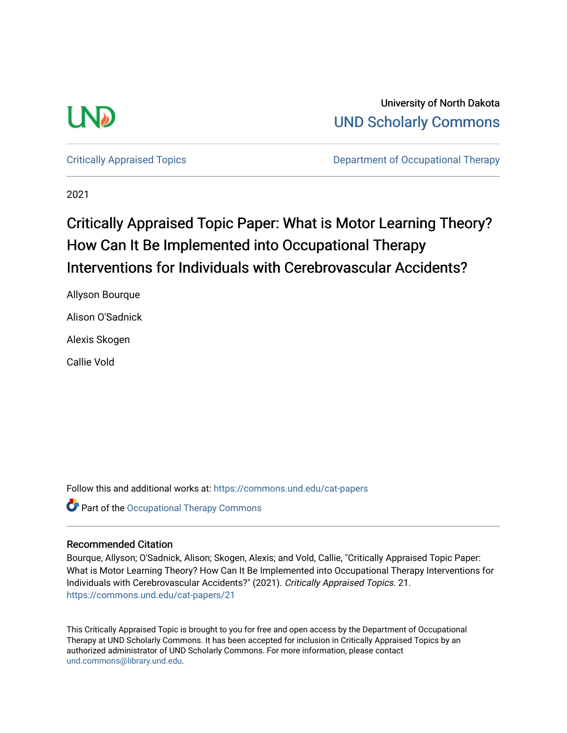

University of North Dakota [UND Scholarly Commons](https://commons.und.edu/) 

[Critically Appraised Topics](https://commons.und.edu/cat-papers) **Department of Occupational Therapy** 

2021

# Critically Appraised Topic Paper: What is Motor Learning Theory? How Can It Be Implemented into Occupational Therapy Interventions for Individuals with Cerebrovascular Accidents?

Allyson Bourque Alison O'Sadnick Alexis Skogen

Callie Vold

Follow this and additional works at: [https://commons.und.edu/cat-papers](https://commons.und.edu/cat-papers?utm_source=commons.und.edu%2Fcat-papers%2F21&utm_medium=PDF&utm_campaign=PDFCoverPages) 

Part of the [Occupational Therapy Commons](http://network.bepress.com/hgg/discipline/752?utm_source=commons.und.edu%2Fcat-papers%2F21&utm_medium=PDF&utm_campaign=PDFCoverPages) 

### Recommended Citation

Bourque, Allyson; O'Sadnick, Alison; Skogen, Alexis; and Vold, Callie, "Critically Appraised Topic Paper: What is Motor Learning Theory? How Can It Be Implemented into Occupational Therapy Interventions for Individuals with Cerebrovascular Accidents?" (2021). Critically Appraised Topics. 21. [https://commons.und.edu/cat-papers/21](https://commons.und.edu/cat-papers/21?utm_source=commons.und.edu%2Fcat-papers%2F21&utm_medium=PDF&utm_campaign=PDFCoverPages)

This Critically Appraised Topic is brought to you for free and open access by the Department of Occupational Therapy at UND Scholarly Commons. It has been accepted for inclusion in Critically Appraised Topics by an authorized administrator of UND Scholarly Commons. For more information, please contact [und.commons@library.und.edu](mailto:und.commons@library.und.edu).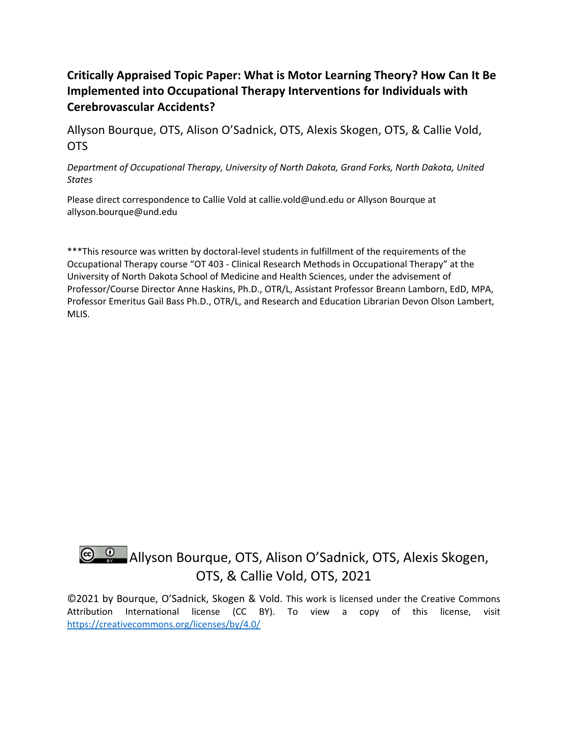# **Critically Appraised Topic Paper: What is Motor Learning Theory? How Can It Be Implemented into Occupational Therapy Interventions for Individuals with Cerebrovascular Accidents?**

Allyson Bourque, OTS, Alison O'Sadnick, OTS, Alexis Skogen, OTS, & Callie Vold, OTS

*Department of Occupational Therapy, University of North Dakota, Grand Forks, North Dakota, United States*

Please direct correspondence to Callie Vold at callie.vold@und.edu or Allyson Bourque at allyson.bourque@und.edu

\*\*\*This resource was written by doctoral-level students in fulfillment of the requirements of the Occupational Therapy course "OT 403 - Clinical Research Methods in Occupational Therapy" at the University of North Dakota School of Medicine and Health Sciences, under the advisement of Professor/Course Director Anne Haskins, Ph.D., OTR/L, Assistant Professor Breann Lamborn, EdD, MPA, Professor Emeritus Gail Bass Ph.D., OTR/L, and Research and Education Librarian Devon Olson Lambert, MLIS.

# **C. C.** Allyson Bourque, OTS, Alison O'Sadnick, OTS, Alexis Skogen, OTS, & Callie Vold, OTS, 2021

©2021 by Bourque, O'Sadnick, Skogen & Vold. This work is licensed under the Creative Commons Attribution International license (CC BY). To view a copy of this license, visit https://creativecommons.org/licenses/by/4.0/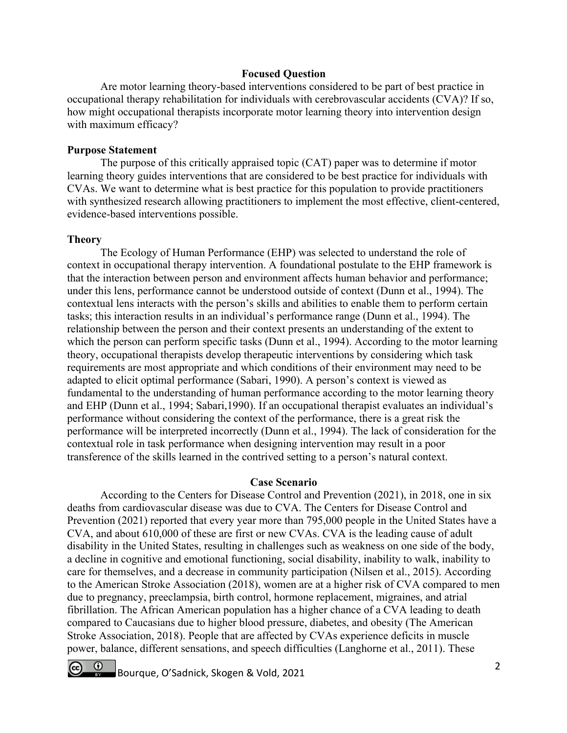### **Focused Question**

Are motor learning theory-based interventions considered to be part of best practice in occupational therapy rehabilitation for individuals with cerebrovascular accidents (CVA)? If so, how might occupational therapists incorporate motor learning theory into intervention design with maximum efficacy?

#### **Purpose Statement**

The purpose of this critically appraised topic (CAT) paper was to determine if motor learning theory guides interventions that are considered to be best practice for individuals with CVAs. We want to determine what is best practice for this population to provide practitioners with synthesized research allowing practitioners to implement the most effective, client-centered, evidence-based interventions possible.

### **Theory**

The Ecology of Human Performance (EHP) was selected to understand the role of context in occupational therapy intervention. A foundational postulate to the EHP framework is that the interaction between person and environment affects human behavior and performance; under this lens, performance cannot be understood outside of context (Dunn et al., 1994). The contextual lens interacts with the person's skills and abilities to enable them to perform certain tasks; this interaction results in an individual's performance range (Dunn et al., 1994). The relationship between the person and their context presents an understanding of the extent to which the person can perform specific tasks (Dunn et al., 1994). According to the motor learning theory, occupational therapists develop therapeutic interventions by considering which task requirements are most appropriate and which conditions of their environment may need to be adapted to elicit optimal performance (Sabari, 1990). A person's context is viewed as fundamental to the understanding of human performance according to the motor learning theory and EHP (Dunn et al., 1994; Sabari,1990). If an occupational therapist evaluates an individual's performance without considering the context of the performance, there is a great risk the performance will be interpreted incorrectly (Dunn et al., 1994). The lack of consideration for the contextual role in task performance when designing intervention may result in a poor transference of the skills learned in the contrived setting to a person's natural context.

#### **Case Scenario**

According to the Centers for Disease Control and Prevention (2021), in 2018, one in six deaths from cardiovascular disease was due to CVA. The Centers for Disease Control and Prevention (2021) reported that every year more than 795,000 people in the United States have a CVA, and about 610,000 of these are first or new CVAs. CVA is the leading cause of adult disability in the United States, resulting in challenges such as weakness on one side of the body, a decline in cognitive and emotional functioning, social disability, inability to walk, inability to care for themselves, and a decrease in community participation (Nilsen et al., 2015). According to the American Stroke Association (2018), women are at a higher risk of CVA compared to men due to pregnancy, preeclampsia, birth control, hormone replacement, migraines, and atrial fibrillation. The African American population has a higher chance of a CVA leading to death compared to Caucasians due to higher blood pressure, diabetes, and obesity (The American Stroke Association, 2018). People that are affected by CVAs experience deficits in muscle power, balance, different sensations, and speech difficulties (Langhorne et al., 2011). These

Bourque, O'Sadnick, Skogen & Vold, 2021 <sup>2</sup>  $\circ$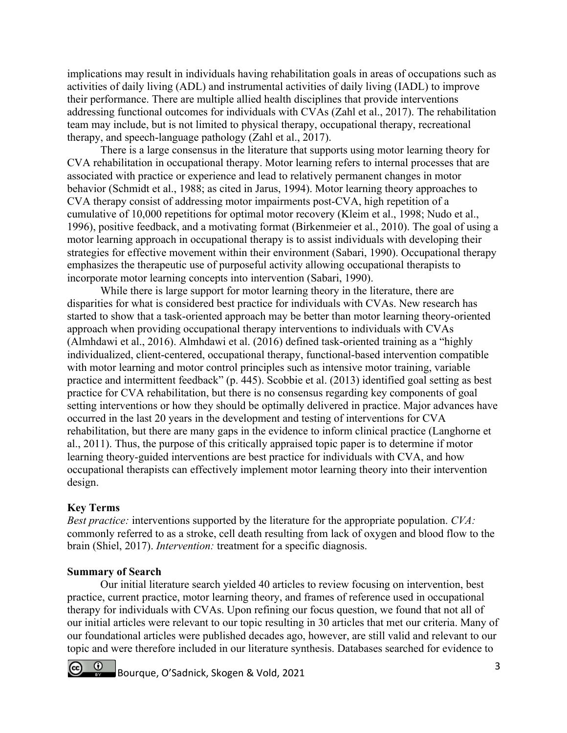implications may result in individuals having rehabilitation goals in areas of occupations such as activities of daily living (ADL) and instrumental activities of daily living (IADL) to improve their performance. There are multiple allied health disciplines that provide interventions addressing functional outcomes for individuals with CVAs (Zahl et al., 2017). The rehabilitation team may include, but is not limited to physical therapy, occupational therapy, recreational therapy, and speech-language pathology (Zahl et al., 2017).

There is a large consensus in the literature that supports using motor learning theory for CVA rehabilitation in occupational therapy. Motor learning refers to internal processes that are associated with practice or experience and lead to relatively permanent changes in motor behavior (Schmidt et al., 1988; as cited in Jarus, 1994). Motor learning theory approaches to CVA therapy consist of addressing motor impairments post-CVA, high repetition of a cumulative of 10,000 repetitions for optimal motor recovery (Kleim et al., 1998; Nudo et al., 1996), positive feedback, and a motivating format (Birkenmeier et al., 2010). The goal of using a motor learning approach in occupational therapy is to assist individuals with developing their strategies for effective movement within their environment (Sabari, 1990). Occupational therapy emphasizes the therapeutic use of purposeful activity allowing occupational therapists to incorporate motor learning concepts into intervention (Sabari, 1990).

While there is large support for motor learning theory in the literature, there are disparities for what is considered best practice for individuals with CVAs. New research has started to show that a task-oriented approach may be better than motor learning theory-oriented approach when providing occupational therapy interventions to individuals with CVAs (Almhdawi et al., 2016). Almhdawi et al. (2016) defined task-oriented training as a "highly individualized, client-centered, occupational therapy, functional-based intervention compatible with motor learning and motor control principles such as intensive motor training, variable practice and intermittent feedback" (p. 445). Scobbie et al. (2013) identified goal setting as best practice for CVA rehabilitation, but there is no consensus regarding key components of goal setting interventions or how they should be optimally delivered in practice. Major advances have occurred in the last 20 years in the development and testing of interventions for CVA rehabilitation, but there are many gaps in the evidence to inform clinical practice (Langhorne et al., 2011). Thus, the purpose of this critically appraised topic paper is to determine if motor learning theory-guided interventions are best practice for individuals with CVA, and how occupational therapists can effectively implement motor learning theory into their intervention design.

## **Key Terms**

*Best practice:* interventions supported by the literature for the appropriate population. *CVA:* commonly referred to as a stroke, cell death resulting from lack of oxygen and blood flow to the brain (Shiel, 2017). *Intervention:* treatment for a specific diagnosis.

## **Summary of Search**

Our initial literature search yielded 40 articles to review focusing on intervention, best practice, current practice, motor learning theory, and frames of reference used in occupational therapy for individuals with CVAs. Upon refining our focus question, we found that not all of our initial articles were relevant to our topic resulting in 30 articles that met our criteria. Many of our foundational articles were published decades ago, however, are still valid and relevant to our topic and were therefore included in our literature synthesis. Databases searched for evidence to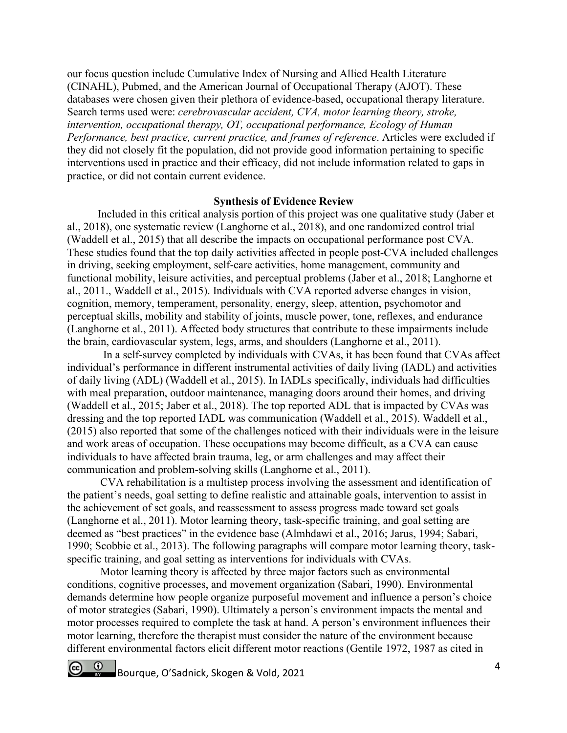our focus question include Cumulative Index of Nursing and Allied Health Literature (CINAHL), Pubmed, and the American Journal of Occupational Therapy (AJOT). These databases were chosen given their plethora of evidence-based, occupational therapy literature. Search terms used were: *cerebrovascular accident, CVA, motor learning theory, stroke, intervention, occupational therapy, OT, occupational performance, Ecology of Human Performance, best practice, current practice, and frames of reference*. Articles were excluded if they did not closely fit the population, did not provide good information pertaining to specific interventions used in practice and their efficacy, did not include information related to gaps in practice, or did not contain current evidence.

## **Synthesis of Evidence Review**

Included in this critical analysis portion of this project was one qualitative study (Jaber et al., 2018), one systematic review (Langhorne et al., 2018), and one randomized control trial (Waddell et al., 2015) that all describe the impacts on occupational performance post CVA. These studies found that the top daily activities affected in people post-CVA included challenges in driving, seeking employment, self-care activities, home management, community and functional mobility, leisure activities, and perceptual problems (Jaber et al., 2018; Langhorne et al., 2011., Waddell et al., 2015). Individuals with CVA reported adverse changes in vision, cognition, memory, temperament, personality, energy, sleep, attention, psychomotor and perceptual skills, mobility and stability of joints, muscle power, tone, reflexes, and endurance (Langhorne et al., 2011). Affected body structures that contribute to these impairments include the brain, cardiovascular system, legs, arms, and shoulders (Langhorne et al., 2011).

In a self-survey completed by individuals with CVAs, it has been found that CVAs affect individual's performance in different instrumental activities of daily living (IADL) and activities of daily living (ADL) (Waddell et al., 2015). In IADLs specifically, individuals had difficulties with meal preparation, outdoor maintenance, managing doors around their homes, and driving (Waddell et al., 2015; Jaber et al., 2018). The top reported ADL that is impacted by CVAs was dressing and the top reported IADL was communication (Waddell et al., 2015). Waddell et al., (2015) also reported that some of the challenges noticed with their individuals were in the leisure and work areas of occupation. These occupations may become difficult, as a CVA can cause individuals to have affected brain trauma, leg, or arm challenges and may affect their communication and problem-solving skills (Langhorne et al., 2011).

 CVA rehabilitation is a multistep process involving the assessment and identification of the patient's needs, goal setting to define realistic and attainable goals, intervention to assist in the achievement of set goals, and reassessment to assess progress made toward set goals (Langhorne et al., 2011). Motor learning theory, task-specific training, and goal setting are deemed as "best practices" in the evidence base (Almhdawi et al., 2016; Jarus, 1994; Sabari, 1990; Scobbie et al., 2013). The following paragraphs will compare motor learning theory, taskspecific training, and goal setting as interventions for individuals with CVAs.

 Motor learning theory is affected by three major factors such as environmental conditions, cognitive processes, and movement organization (Sabari, 1990). Environmental demands determine how people organize purposeful movement and influence a person's choice of motor strategies (Sabari, 1990). Ultimately a person's environment impacts the mental and motor processes required to complete the task at hand. A person's environment influences their motor learning, therefore the therapist must consider the nature of the environment because different environmental factors elicit different motor reactions (Gentile 1972, 1987 as cited in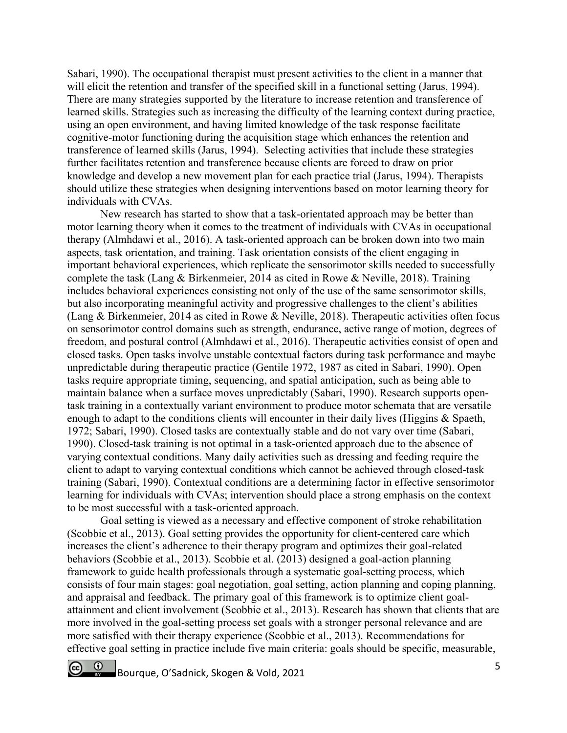Sabari, 1990). The occupational therapist must present activities to the client in a manner that will elicit the retention and transfer of the specified skill in a functional setting (Jarus, 1994). There are many strategies supported by the literature to increase retention and transference of learned skills. Strategies such as increasing the difficulty of the learning context during practice, using an open environment, and having limited knowledge of the task response facilitate cognitive-motor functioning during the acquisition stage which enhances the retention and transference of learned skills (Jarus, 1994). Selecting activities that include these strategies further facilitates retention and transference because clients are forced to draw on prior knowledge and develop a new movement plan for each practice trial (Jarus, 1994). Therapists should utilize these strategies when designing interventions based on motor learning theory for individuals with CVAs.

New research has started to show that a task-orientated approach may be better than motor learning theory when it comes to the treatment of individuals with CVAs in occupational therapy (Almhdawi et al., 2016). A task-oriented approach can be broken down into two main aspects, task orientation, and training. Task orientation consists of the client engaging in important behavioral experiences, which replicate the sensorimotor skills needed to successfully complete the task (Lang & Birkenmeier, 2014 as cited in Rowe & Neville, 2018). Training includes behavioral experiences consisting not only of the use of the same sensorimotor skills, but also incorporating meaningful activity and progressive challenges to the client's abilities (Lang & Birkenmeier, 2014 as cited in Rowe & Neville, 2018). Therapeutic activities often focus on sensorimotor control domains such as strength, endurance, active range of motion, degrees of freedom, and postural control (Almhdawi et al., 2016). Therapeutic activities consist of open and closed tasks. Open tasks involve unstable contextual factors during task performance and maybe unpredictable during therapeutic practice (Gentile 1972, 1987 as cited in Sabari, 1990). Open tasks require appropriate timing, sequencing, and spatial anticipation, such as being able to maintain balance when a surface moves unpredictably (Sabari, 1990). Research supports opentask training in a contextually variant environment to produce motor schemata that are versatile enough to adapt to the conditions clients will encounter in their daily lives (Higgins & Spaeth, 1972; Sabari, 1990). Closed tasks are contextually stable and do not vary over time (Sabari, 1990). Closed-task training is not optimal in a task-oriented approach due to the absence of varying contextual conditions. Many daily activities such as dressing and feeding require the client to adapt to varying contextual conditions which cannot be achieved through closed-task training (Sabari, 1990). Contextual conditions are a determining factor in effective sensorimotor learning for individuals with CVAs; intervention should place a strong emphasis on the context to be most successful with a task-oriented approach.

Goal setting is viewed as a necessary and effective component of stroke rehabilitation (Scobbie et al., 2013). Goal setting provides the opportunity for client-centered care which increases the client's adherence to their therapy program and optimizes their goal-related behaviors (Scobbie et al., 2013). Scobbie et al. (2013) designed a goal-action planning framework to guide health professionals through a systematic goal-setting process, which consists of four main stages: goal negotiation, goal setting, action planning and coping planning, and appraisal and feedback. The primary goal of this framework is to optimize client goalattainment and client involvement (Scobbie et al., 2013). Research has shown that clients that are more involved in the goal-setting process set goals with a stronger personal relevance and are more satisfied with their therapy experience (Scobbie et al., 2013). Recommendations for effective goal setting in practice include five main criteria: goals should be specific, measurable,

Bourque, O'Sadnick, Skogen & Vold, 2021 5  $\Omega$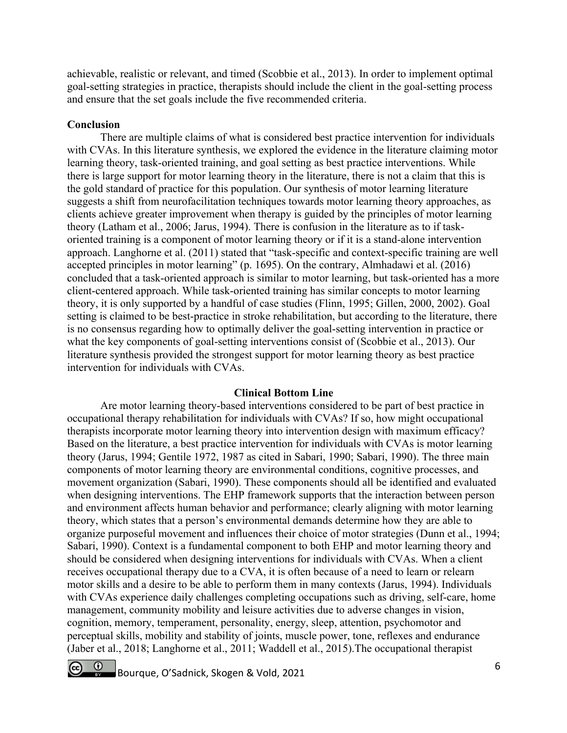achievable, realistic or relevant, and timed (Scobbie et al., 2013). In order to implement optimal goal-setting strategies in practice, therapists should include the client in the goal-setting process and ensure that the set goals include the five recommended criteria.

## **Conclusion**

 There are multiple claims of what is considered best practice intervention for individuals with CVAs. In this literature synthesis, we explored the evidence in the literature claiming motor learning theory, task-oriented training, and goal setting as best practice interventions. While there is large support for motor learning theory in the literature, there is not a claim that this is the gold standard of practice for this population. Our synthesis of motor learning literature suggests a shift from neurofacilitation techniques towards motor learning theory approaches, as clients achieve greater improvement when therapy is guided by the principles of motor learning theory (Latham et al., 2006; Jarus, 1994). There is confusion in the literature as to if taskoriented training is a component of motor learning theory or if it is a stand-alone intervention approach. Langhorne et al. (2011) stated that "task-specific and context-specific training are well accepted principles in motor learning" (p. 1695). On the contrary, Almhadawi et al. (2016) concluded that a task-oriented approach is similar to motor learning, but task-oriented has a more client-centered approach. While task-oriented training has similar concepts to motor learning theory, it is only supported by a handful of case studies (Flinn, 1995; Gillen, 2000, 2002). Goal setting is claimed to be best-practice in stroke rehabilitation, but according to the literature, there is no consensus regarding how to optimally deliver the goal-setting intervention in practice or what the key components of goal-setting interventions consist of (Scobbie et al., 2013). Our literature synthesis provided the strongest support for motor learning theory as best practice intervention for individuals with CVAs.

#### **Clinical Bottom Line**

 Are motor learning theory-based interventions considered to be part of best practice in occupational therapy rehabilitation for individuals with CVAs? If so, how might occupational therapists incorporate motor learning theory into intervention design with maximum efficacy? Based on the literature, a best practice intervention for individuals with CVAs is motor learning theory (Jarus, 1994; Gentile 1972, 1987 as cited in Sabari, 1990; Sabari, 1990). The three main components of motor learning theory are environmental conditions, cognitive processes, and movement organization (Sabari, 1990). These components should all be identified and evaluated when designing interventions. The EHP framework supports that the interaction between person and environment affects human behavior and performance; clearly aligning with motor learning theory, which states that a person's environmental demands determine how they are able to organize purposeful movement and influences their choice of motor strategies (Dunn et al., 1994; Sabari, 1990). Context is a fundamental component to both EHP and motor learning theory and should be considered when designing interventions for individuals with CVAs. When a client receives occupational therapy due to a CVA, it is often because of a need to learn or relearn motor skills and a desire to be able to perform them in many contexts (Jarus, 1994). Individuals with CVAs experience daily challenges completing occupations such as driving, self-care, home management, community mobility and leisure activities due to adverse changes in vision, cognition, memory, temperament, personality, energy, sleep, attention, psychomotor and perceptual skills, mobility and stability of joints, muscle power, tone, reflexes and endurance (Jaber et al., 2018; Langhorne et al., 2011; Waddell et al., 2015).The occupational therapist

 $\circ$ Bourque, O'Sadnick, Skogen & Vold, 2021 6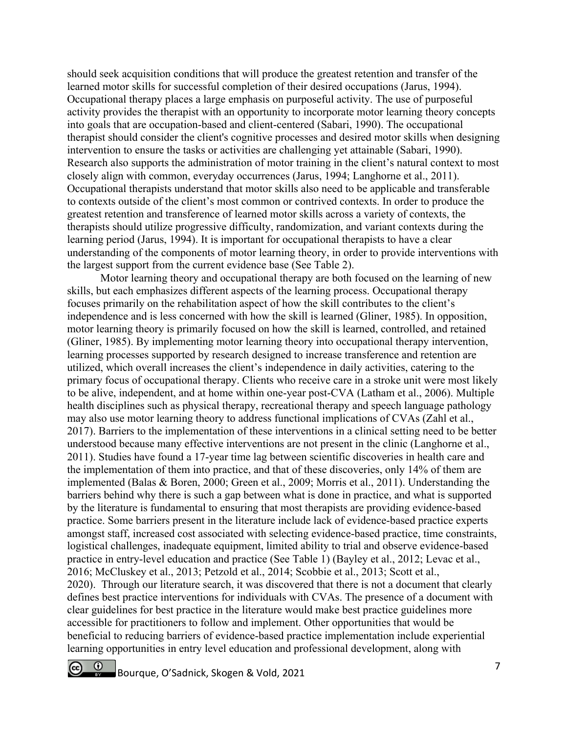should seek acquisition conditions that will produce the greatest retention and transfer of the learned motor skills for successful completion of their desired occupations (Jarus, 1994). Occupational therapy places a large emphasis on purposeful activity. The use of purposeful activity provides the therapist with an opportunity to incorporate motor learning theory concepts into goals that are occupation-based and client-centered (Sabari, 1990). The occupational therapist should consider the client's cognitive processes and desired motor skills when designing intervention to ensure the tasks or activities are challenging yet attainable (Sabari, 1990). Research also supports the administration of motor training in the client's natural context to most closely align with common, everyday occurrences (Jarus, 1994; Langhorne et al., 2011). Occupational therapists understand that motor skills also need to be applicable and transferable to contexts outside of the client's most common or contrived contexts. In order to produce the greatest retention and transference of learned motor skills across a variety of contexts, the therapists should utilize progressive difficulty, randomization, and variant contexts during the learning period (Jarus, 1994). It is important for occupational therapists to have a clear understanding of the components of motor learning theory, in order to provide interventions with the largest support from the current evidence base (See Table 2).

 Motor learning theory and occupational therapy are both focused on the learning of new skills, but each emphasizes different aspects of the learning process. Occupational therapy focuses primarily on the rehabilitation aspect of how the skill contributes to the client's independence and is less concerned with how the skill is learned (Gliner, 1985). In opposition, motor learning theory is primarily focused on how the skill is learned, controlled, and retained (Gliner, 1985). By implementing motor learning theory into occupational therapy intervention, learning processes supported by research designed to increase transference and retention are utilized, which overall increases the client's independence in daily activities, catering to the primary focus of occupational therapy. Clients who receive care in a stroke unit were most likely to be alive, independent, and at home within one-year post-CVA (Latham et al., 2006). Multiple health disciplines such as physical therapy, recreational therapy and speech language pathology may also use motor learning theory to address functional implications of CVAs (Zahl et al., 2017). Barriers to the implementation of these interventions in a clinical setting need to be better understood because many effective interventions are not present in the clinic (Langhorne et al., 2011). Studies have found a 17-year time lag between scientific discoveries in health care and the implementation of them into practice, and that of these discoveries, only 14% of them are implemented (Balas & Boren, 2000; Green et al., 2009; Morris et al., 2011). Understanding the barriers behind why there is such a gap between what is done in practice, and what is supported by the literature is fundamental to ensuring that most therapists are providing evidence-based practice. Some barriers present in the literature include lack of evidence-based practice experts amongst staff, increased cost associated with selecting evidence-based practice, time constraints, logistical challenges, inadequate equipment, limited ability to trial and observe evidence-based practice in entry-level education and practice (See Table 1) (Bayley et al., 2012; Levac et al., 2016; McCluskey et al., 2013; Petzold et al., 2014; Scobbie et al., 2013; Scott et al., 2020). Through our literature search, it was discovered that there is not a document that clearly defines best practice interventions for individuals with CVAs. The presence of a document with clear guidelines for best practice in the literature would make best practice guidelines more accessible for practitioners to follow and implement. Other opportunities that would be beneficial to reducing barriers of evidence-based practice implementation include experiential learning opportunities in entry level education and professional development, along with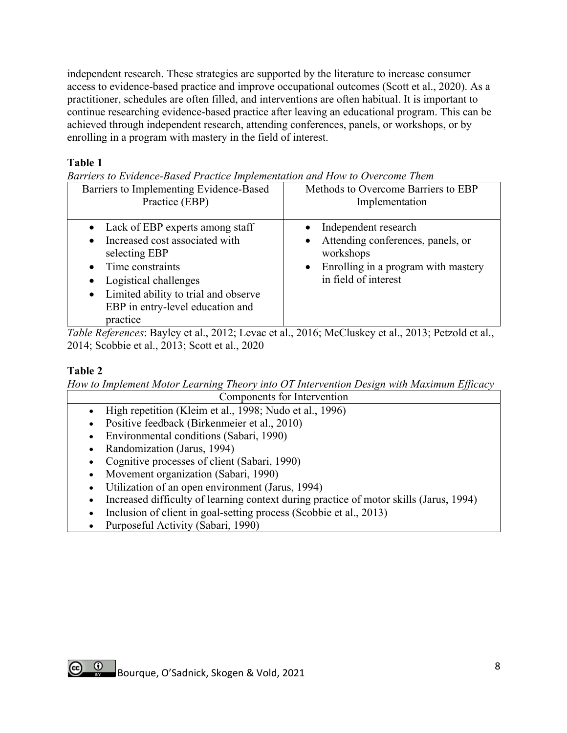independent research. These strategies are supported by the literature to increase consumer access to evidence-based practice and improve occupational outcomes (Scott et al., 2020). As a practitioner, schedules are often filled, and interventions are often habitual. It is important to continue researching evidence-based practice after leaving an educational program. This can be achieved through independent research, attending conferences, panels, or workshops, or by enrolling in a program with mastery in the field of interest.

## **Table 1**

*Barriers to Evidence-Based Practice Implementation and How to Overcome Them*

| литтегу по Evidence-Dasea I ractice Implementation and How to Overcome Them<br>Barriers to Implementing Evidence-Based<br>Practice (EBP)                                                                                                                         | Methods to Overcome Barriers to EBP<br>Implementation                                                                                                  |
|------------------------------------------------------------------------------------------------------------------------------------------------------------------------------------------------------------------------------------------------------------------|--------------------------------------------------------------------------------------------------------------------------------------------------------|
| • Lack of EBP experts among staff<br>Increased cost associated with<br>$\bullet$<br>selecting EBP<br>Time constraints<br>$\bullet$<br>Logistical challenges<br>Limited ability to trial and observe<br>$\bullet$<br>EBP in entry-level education and<br>practice | • Independent research<br>• Attending conferences, panels, or<br>workshops<br>Enrolling in a program with mastery<br>$\bullet$<br>in field of interest |

*Table References*: Bayley et al., 2012; Levac et al., 2016; McCluskey et al., 2013; Petzold et al., 2014; Scobbie et al., 2013; Scott et al., 2020

## **Table 2**

*How to Implement Motor Learning Theory into OT Intervention Design with Maximum Efficacy*  Components for Intervention

- High repetition (Kleim et al., 1998; Nudo et al., 1996)
- Positive feedback (Birkenmeier et al., 2010)
- Environmental conditions (Sabari, 1990)
- Randomization (Jarus, 1994)
- Cognitive processes of client (Sabari, 1990)
- Movement organization (Sabari, 1990)
- Utilization of an open environment (Jarus, 1994)
- Increased difficulty of learning context during practice of motor skills (Jarus, 1994)
- Inclusion of client in goal-setting process (Scobbie et al., 2013)
- Purposeful Activity (Sabari, 1990)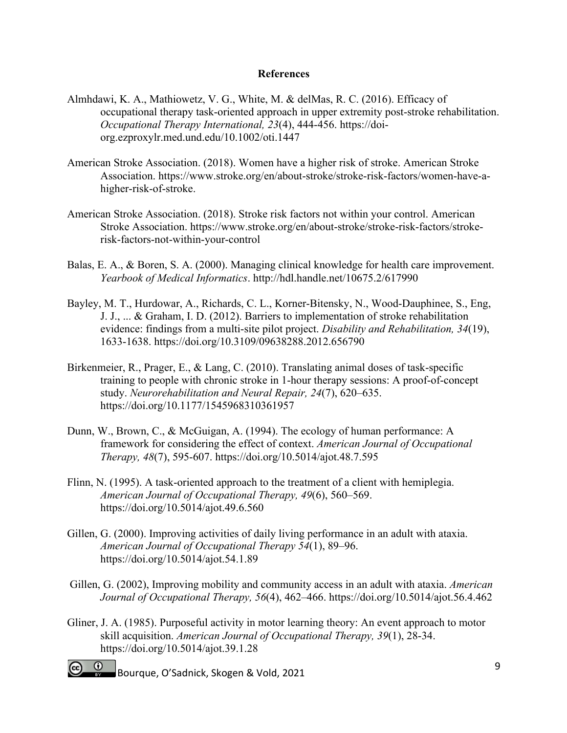## **References**

- Almhdawi, K. A., Mathiowetz, V. G., White, M. & delMas, R. C. (2016). Efficacy of occupational therapy task-oriented approach in upper extremity post-stroke rehabilitation. *Occupational Therapy International, 23*(4), 444-456. https://doiorg.ezproxylr.med.und.edu/10.1002/oti.1447
- American Stroke Association. (2018). Women have a higher risk of stroke. American Stroke Association. https://www.stroke.org/en/about-stroke/stroke-risk-factors/women-have-ahigher-risk-of-stroke.
- American Stroke Association. (2018). Stroke risk factors not within your control. American Stroke Association. https://www.stroke.org/en/about-stroke/stroke-risk-factors/strokerisk-factors-not-within-your-control
- Balas, E. A., & Boren, S. A. (2000). Managing clinical knowledge for health care improvement. *Yearbook of Medical Informatics*. http://hdl.handle.net/10675.2/617990
- Bayley, M. T., Hurdowar, A., Richards, C. L., Korner-Bitensky, N., Wood-Dauphinee, S., Eng, J. J., ... & Graham, I. D. (2012). Barriers to implementation of stroke rehabilitation evidence: findings from a multi-site pilot project. *Disability and Rehabilitation, 34*(19), 1633-1638. https://doi.org/10.3109/09638288.2012.656790
- Birkenmeier, R., Prager, E., & Lang, C. (2010). Translating animal doses of task-specific training to people with chronic stroke in 1-hour therapy sessions: A proof-of-concept study. *Neurorehabilitation and Neural Repair, 24*(7), 620–635. https://doi.org/10.1177/1545968310361957
- Dunn, W., Brown, C., & McGuigan, A. (1994). The ecology of human performance: A framework for considering the effect of context. *American Journal of Occupational Therapy, 48*(7), 595-607. https://doi.org/10.5014/ajot.48.7.595
- Flinn, N. (1995). A task-oriented approach to the treatment of a client with hemiplegia. *American Journal of Occupational Therapy, 49*(6), 560–569. https://doi.org/10.5014/ajot.49.6.560
- Gillen, G. (2000). Improving activities of daily living performance in an adult with ataxia. *American Journal of Occupational Therapy 54*(1), 89–96. https://doi.org/10.5014/ajot.54.1.89
- Gillen, G. (2002), Improving mobility and community access in an adult with ataxia. *American Journal of Occupational Therapy, 56*(4), 462–466. https://doi.org/10.5014/ajot.56.4.462
- Gliner, J. A. (1985). Purposeful activity in motor learning theory: An event approach to motor skill acquisition. *American Journal of Occupational Therapy, 39*(1), 28-34. https://doi.org/10.5014/ajot.39.1.28
- Bourque, O'Sadnick, Skogen & Vold, 2021 9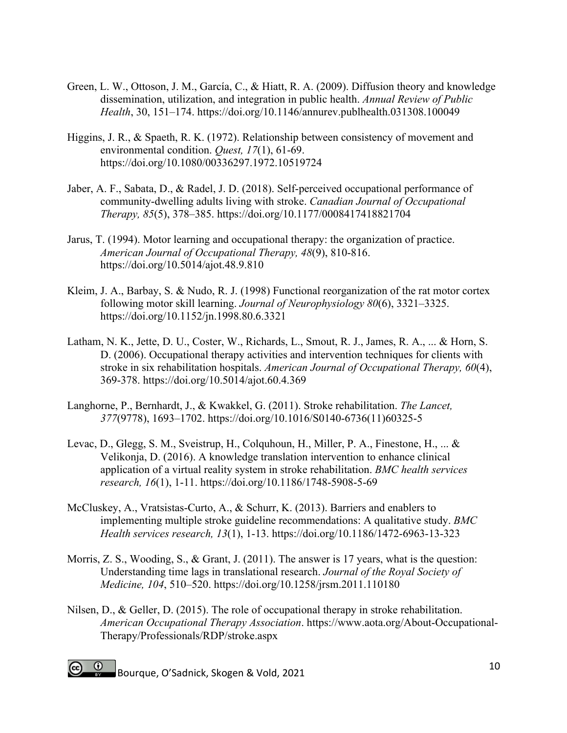- Green, L. W., Ottoson, J. M., García, C., & Hiatt, R. A. (2009). Diffusion theory and knowledge dissemination, utilization, and integration in public health. *Annual Review of Public Health*, 30, 151–174. https://doi.org/10.1146/annurev.publhealth.031308.100049
- Higgins, J. R., & Spaeth, R. K. (1972). Relationship between consistency of movement and environmental condition. *Quest, 17*(1), 61-69. https://doi.org/10.1080/00336297.1972.10519724
- Jaber, A. F., Sabata, D., & Radel, J. D. (2018). Self-perceived occupational performance of community-dwelling adults living with stroke. *Canadian Journal of Occupational Therapy, 85*(5), 378–385. https://doi.org/10.1177/0008417418821704
- Jarus, T. (1994). Motor learning and occupational therapy: the organization of practice. *American Journal of Occupational Therapy, 48*(9), 810-816. https://doi.org/10.5014/ajot.48.9.810
- Kleim, J. A., Barbay, S. & Nudo, R. J. (1998) Functional reorganization of the rat motor cortex following motor skill learning. *Journal of Neurophysiology 80*(6), 3321–3325. https://doi.org/10.1152/jn.1998.80.6.3321
- Latham, N. K., Jette, D. U., Coster, W., Richards, L., Smout, R. J., James, R. A., ... & Horn, S. D. (2006). Occupational therapy activities and intervention techniques for clients with stroke in six rehabilitation hospitals. *American Journal of Occupational Therapy, 60*(4), 369-378. https://doi.org/10.5014/ajot.60.4.369
- Langhorne, P., Bernhardt, J., & Kwakkel, G. (2011). Stroke rehabilitation. *The Lancet, 377*(9778), 1693–1702. https://doi.org/10.1016/S0140-6736(11)60325-5
- Levac, D., Glegg, S. M., Sveistrup, H., Colquhoun, H., Miller, P. A., Finestone, H., ... & Velikonja, D. (2016). A knowledge translation intervention to enhance clinical application of a virtual reality system in stroke rehabilitation. *BMC health services research, 16*(1), 1-11. https://doi.org/10.1186/1748-5908-5-69
- McCluskey, A., Vratsistas-Curto, A., & Schurr, K. (2013). Barriers and enablers to implementing multiple stroke guideline recommendations: A qualitative study. *BMC Health services research, 13*(1), 1-13. https://doi.org/10.1186/1472-6963-13-323
- Morris, Z. S., Wooding, S., & Grant, J. (2011). The answer is 17 years, what is the question: Understanding time lags in translational research. *Journal of the Royal Society of Medicine, 104*, 510–520. https://doi.org/10.1258/jrsm.2011.110180
- Nilsen, D., & Geller, D. (2015). The role of occupational therapy in stroke rehabilitation. *American Occupational Therapy Association*. https://www.aota.org/About-Occupational-Therapy/Professionals/RDP/stroke.aspx
- Bourque, O'Sadnick, Skogen & Vold, 2021 10